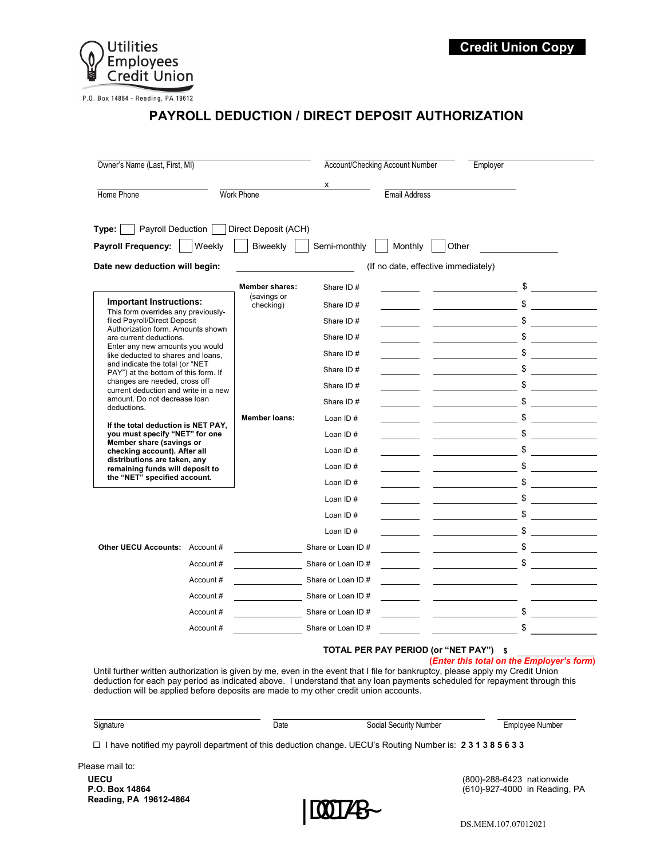

P.O. Box 14864 - Reading, PA 19612

## **PAYROLL DEDUCTION / DIRECT DEPOSIT AUTHORIZATION**

| Owner's Name (Last, First, MI)                                                                                                                                                                                                      |                   |                                     |                      | Account/Checking Account Number |                                                | Employer                                                                                            |  |
|-------------------------------------------------------------------------------------------------------------------------------------------------------------------------------------------------------------------------------------|-------------------|-------------------------------------|----------------------|---------------------------------|------------------------------------------------|-----------------------------------------------------------------------------------------------------|--|
|                                                                                                                                                                                                                                     |                   |                                     | x                    |                                 |                                                |                                                                                                     |  |
| Home Phone                                                                                                                                                                                                                          | <b>Work Phone</b> |                                     | <b>Email Address</b> |                                 |                                                |                                                                                                     |  |
| Type: Payroll Deduction Direct Deposit (ACH)<br>Payroll Frequency:                                                                                                                                                                  | Weekly            | Biweekly                            | Semi-monthly         | Monthly                         | Other                                          |                                                                                                     |  |
| Date new deduction will begin:                                                                                                                                                                                                      |                   | (If no date, effective immediately) |                      |                                 |                                                |                                                                                                     |  |
|                                                                                                                                                                                                                                     |                   | <b>Member shares:</b>               | Share ID#            |                                 |                                                | \$                                                                                                  |  |
| <b>Important Instructions:</b>                                                                                                                                                                                                      |                   | (savings or<br>checking)            | Share ID#            |                                 |                                                | $\frac{1}{\sqrt{2}}$                                                                                |  |
| This form overrides any previously-<br>filed Payroll/Direct Deposit<br>Authorization form. Amounts shown<br>are current deductions.<br>Enter any new amounts you would<br>like deducted to shares and loans,                        |                   |                                     | Share ID#            |                                 |                                                | \$                                                                                                  |  |
|                                                                                                                                                                                                                                     |                   |                                     | Share ID#            |                                 |                                                | \$                                                                                                  |  |
|                                                                                                                                                                                                                                     |                   |                                     | Share ID#            |                                 |                                                | \$                                                                                                  |  |
| and indicate the total (or "NET<br>PAY") at the bottom of this form. If<br>changes are needed, cross off<br>current deduction and write in a new<br>amount. Do not decrease loan<br>deductions.                                     |                   |                                     | Share ID#            |                                 |                                                | \$                                                                                                  |  |
|                                                                                                                                                                                                                                     |                   |                                     | Share ID#            |                                 |                                                | \$                                                                                                  |  |
|                                                                                                                                                                                                                                     |                   |                                     | Share ID#            |                                 |                                                | \$                                                                                                  |  |
| If the total deduction is NET PAY.<br>you must specify "NET" for one<br>Member share (savings or<br>checking account). After all<br>distributions are taken, any<br>remaining funds will deposit to<br>the "NET" specified account. |                   | <b>Member loans:</b>                | Loan ID $#$          |                                 |                                                | \$                                                                                                  |  |
|                                                                                                                                                                                                                                     |                   |                                     | Loan ID $#$          |                                 |                                                | \$                                                                                                  |  |
|                                                                                                                                                                                                                                     |                   |                                     | Loan ID#             |                                 |                                                | \$                                                                                                  |  |
|                                                                                                                                                                                                                                     |                   |                                     | Loan ID $#$          |                                 |                                                | \$                                                                                                  |  |
|                                                                                                                                                                                                                                     |                   |                                     | Loan ID $#$          |                                 |                                                | \$                                                                                                  |  |
|                                                                                                                                                                                                                                     |                   |                                     | Loan ID#             |                                 |                                                | \$                                                                                                  |  |
|                                                                                                                                                                                                                                     |                   |                                     | Loan ID#             |                                 |                                                | \$                                                                                                  |  |
|                                                                                                                                                                                                                                     |                   |                                     | Loan ID $#$          |                                 |                                                | \$<br>the company of the company                                                                    |  |
| Other UECU Accounts: Account #                                                                                                                                                                                                      |                   |                                     | Share or Loan ID #   |                                 | <u>and the state of the state of the state</u> | \$                                                                                                  |  |
|                                                                                                                                                                                                                                     | Account#          |                                     | Share or Loan ID #   |                                 |                                                | $\overline{\phantom{a}}$ $\overline{\phantom{a}}$ $\overline{\phantom{a}}$ $\overline{\phantom{a}}$ |  |
|                                                                                                                                                                                                                                     | Account#          |                                     | Share or Loan ID #   |                                 |                                                | <u> 1989 - Johann Barnett, fransk politik (d. 1989)</u>                                             |  |
|                                                                                                                                                                                                                                     | Account#          |                                     | Share or Loan ID #   |                                 |                                                |                                                                                                     |  |
|                                                                                                                                                                                                                                     | Account#          |                                     | Share or Loan ID #   |                                 |                                                | \$                                                                                                  |  |
|                                                                                                                                                                                                                                     | Account#          |                                     | Share or Loan ID #   |                                 |                                                | $$\overline{\phantom{a}}$$                                                                          |  |

## **TOTAL PER PAY PERIOD (or "NET PAY") \$**

## **(***Enter this total on the Employer's form***)**

Until further written authorization is given by me, even in the event that I file for bankruptcy, please apply my Credit Union deduction for each pay period as indicated above. I understand that any loan payments scheduled for repayment through this deduction will be applied before deposits are made to my other credit union accounts.

| Signature |
|-----------|
|           |

Date Social Security Number Employee Number

I have notified my payroll department of this deduction change. UECU's Routing Number is: **2 3 1 3 8 5 6 3 3**

Please mail to:

**P.O. Box 14864** (610)-927-4000 in Reading, PA

**Reading, PA 19612-4864** |DOC1748~

**UECU** (800)-288-6423 nationwide

DS.MEM.107.07012021